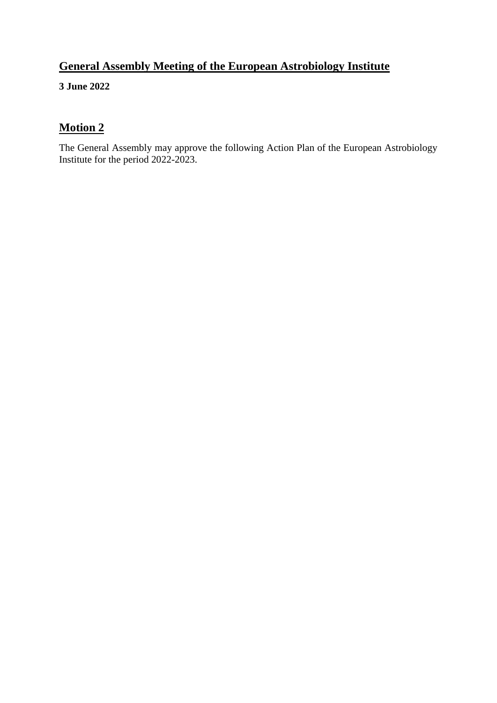# **General Assembly Meeting of the European Astrobiology Institute**

**3 June 2022**

# **Motion 2**

The General Assembly may approve the following Action Plan of the European Astrobiology Institute for the period 2022-2023.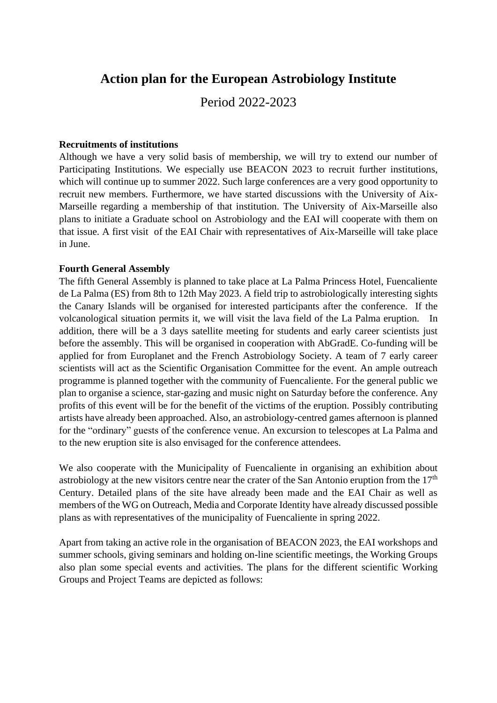# **Action plan for the European Astrobiology Institute**

Period 2022-2023

#### **Recruitments of institutions**

Although we have a very solid basis of membership, we will try to extend our number of Participating Institutions. We especially use BEACON 2023 to recruit further institutions, which will continue up to summer 2022. Such large conferences are a very good opportunity to recruit new members. Furthermore, we have started discussions with the University of Aix-Marseille regarding a membership of that institution. The University of Aix-Marseille also plans to initiate a Graduate school on Astrobiology and the EAI will cooperate with them on that issue. A first visit of the EAI Chair with representatives of Aix-Marseille will take place in June.

#### **Fourth General Assembly**

The fifth General Assembly is planned to take place at La Palma Princess Hotel, Fuencaliente de La Palma (ES) from 8th to 12th May 2023. A field trip to astrobiologically interesting sights the Canary Islands will be organised for interested participants after the conference. If the volcanological situation permits it, we will visit the lava field of the La Palma eruption. addition, there will be a 3 days satellite meeting for students and early career scientists just before the assembly. This will be organised in cooperation with AbGradE. Co-funding will be applied for from Europlanet and the French Astrobiology Society. A team of 7 early career scientists will act as the Scientific Organisation Committee for the event. An ample outreach programme is planned together with the community of Fuencaliente. For the general public we plan to organise a science, star-gazing and music night on Saturday before the conference. Any profits of this event will be for the benefit of the victims of the eruption. Possibly contributing artists have already been approached. Also, an astrobiology-centred games afternoon is planned for the "ordinary" guests of the conference venue. An excursion to telescopes at La Palma and to the new eruption site is also envisaged for the conference attendees.

We also cooperate with the Municipality of Fuencaliente in organising an exhibition about astrobiology at the new visitors centre near the crater of the San Antonio eruption from the  $17<sup>th</sup>$ Century. Detailed plans of the site have already been made and the EAI Chair as well as members of the WG on Outreach, Media and Corporate Identity have already discussed possible plans as with representatives of the municipality of Fuencaliente in spring 2022.

Apart from taking an active role in the organisation of BEACON 2023, the EAI workshops and summer schools, giving seminars and holding on-line scientific meetings, the Working Groups also plan some special events and activities. The plans for the different scientific Working Groups and Project Teams are depicted as follows: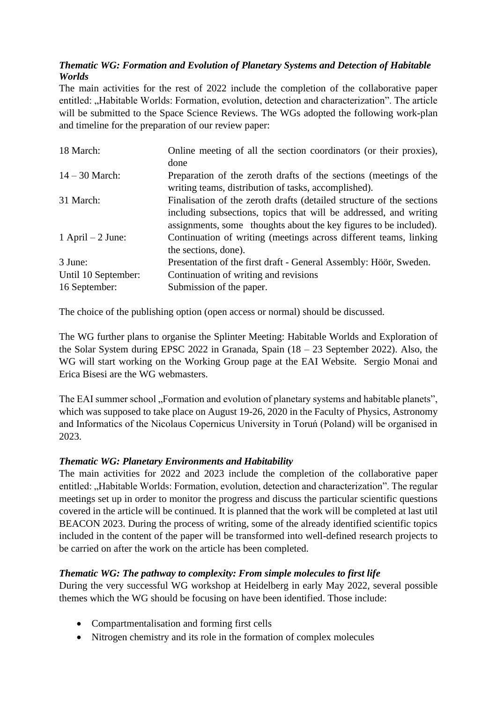## *Thematic WG: Formation and Evolution of Planetary Systems and Detection of Habitable Worlds*

The main activities for the rest of 2022 include the completion of the collaborative paper entitled: "Habitable Worlds: Formation, evolution, detection and characterization". The article will be submitted to the Space Science Reviews. The WGs adopted the following work-plan and timeline for the preparation of our review paper:

| 18 March:           | Online meeting of all the section coordinators (or their proxies),                                                                         |
|---------------------|--------------------------------------------------------------------------------------------------------------------------------------------|
|                     | done                                                                                                                                       |
| $14 - 30$ March:    | Preparation of the zeroth drafts of the sections (meetings of the<br>writing teams, distribution of tasks, accomplished).                  |
| 31 March:           | Finalisation of the zeroth drafts (detailed structure of the sections<br>including subsections, topics that will be addressed, and writing |
|                     | assignments, some thoughts about the key figures to be included).                                                                          |
| 1 April $-2$ June:  | Continuation of writing (meetings across different teams, linking                                                                          |
|                     | the sections, done).                                                                                                                       |
| 3 June:             | Presentation of the first draft - General Assembly: Höör, Sweden.                                                                          |
| Until 10 September: | Continuation of writing and revisions                                                                                                      |
| 16 September:       | Submission of the paper.                                                                                                                   |

The choice of the publishing option (open access or normal) should be discussed.

The WG further plans to organise the Splinter Meeting: Habitable Worlds and Exploration of the Solar System during EPSC 2022 in Granada, Spain (18 – 23 September 2022). Also, the WG will start working on the Working Group page at the EAI Website. Sergio Monai and Erica Bisesi are the WG webmasters.

The EAI summer school "Formation and evolution of planetary systems and habitable planets", which was supposed to take place on August 19-26, 2020 in the Faculty of Physics, Astronomy and Informatics of the Nicolaus Copernicus University in Toruń (Poland) will be organised in 2023.

## *Thematic WG: Planetary Environments and Habitability*

The main activities for 2022 and 2023 include the completion of the collaborative paper entitled: "Habitable Worlds: Formation, evolution, detection and characterization". The regular meetings set up in order to monitor the progress and discuss the particular scientific questions covered in the article will be continued. It is planned that the work will be completed at last util BEACON 2023. During the process of writing, some of the already identified scientific topics included in the content of the paper will be transformed into well-defined research projects to be carried on after the work on the article has been completed.

## *Thematic WG: The pathway to complexity: From simple molecules to first life*

During the very successful WG workshop at Heidelberg in early May 2022, several possible themes which the WG should be focusing on have been identified. Those include:

- Compartmentalisation and forming first cells
- Nitrogen chemistry and its role in the formation of complex molecules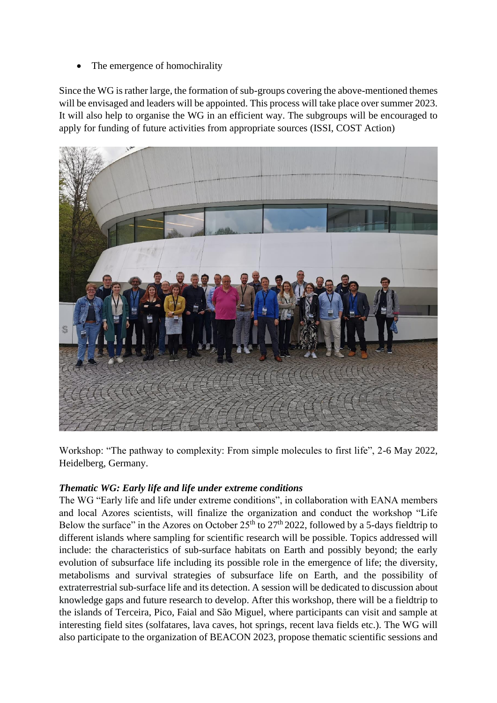The emergence of homochirality

Since the WG is rather large, the formation of sub-groups covering the above-mentioned themes will be envisaged and leaders will be appointed. This process will take place over summer 2023. It will also help to organise the WG in an efficient way. The subgroups will be encouraged to apply for funding of future activities from appropriate sources (ISSI, COST Action)



Workshop: "The pathway to complexity: From simple molecules to first life", 2-6 May 2022, Heidelberg, Germany.

## *Thematic WG: Early life and life under extreme conditions*

The WG "Early life and life under extreme conditions", in collaboration with EANA members and local Azores scientists, will finalize the organization and conduct the workshop "Life Below the surface" in the Azores on October  $25<sup>th</sup>$  to  $27<sup>th</sup>$  2022, followed by a 5-days fieldtrip to different islands where sampling for scientific research will be possible. Topics addressed will include: the characteristics of sub-surface habitats on Earth and possibly beyond; the early evolution of subsurface life including its possible role in the emergence of life; the diversity, metabolisms and survival strategies of subsurface life on Earth, and the possibility of extraterrestrial sub-surface life and its detection. A session will be dedicated to discussion about knowledge gaps and future research to develop. After this workshop, there will be a fieldtrip to the islands of Terceira, Pico, Faial and São Miguel, where participants can visit and sample at interesting field sites (solfatares, lava caves, hot springs, recent lava fields etc.). The WG will also participate to the organization of BEACON 2023, propose thematic scientific sessions and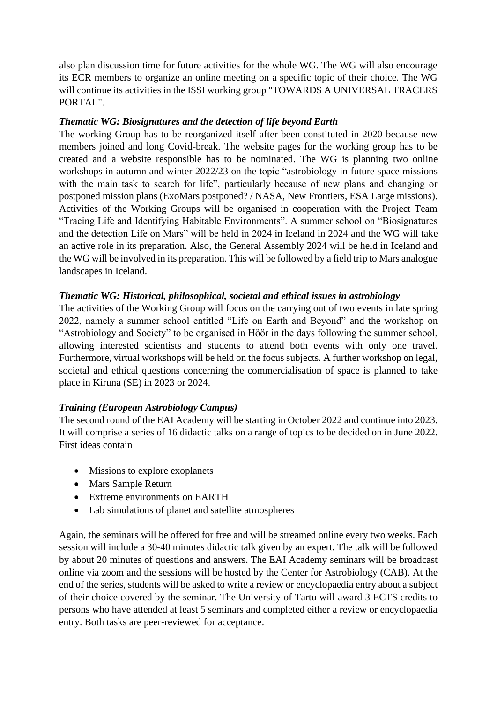also plan discussion time for future activities for the whole WG. The WG will also encourage its ECR members to organize an online meeting on a specific topic of their choice. The WG will continue its activities in the ISSI working group "TOWARDS A UNIVERSAL TRACERS PORTAL".

### *Thematic WG: Biosignatures and the detection of life beyond Earth*

The working Group has to be reorganized itself after been constituted in 2020 because new members joined and long Covid-break. The website pages for the working group has to be created and a website responsible has to be nominated. The WG is planning two online workshops in autumn and winter 2022/23 on the topic "astrobiology in future space missions with the main task to search for life", particularly because of new plans and changing or postponed mission plans (ExoMars postponed? / NASA, New Frontiers, ESA Large missions). Activities of the Working Groups will be organised in cooperation with the Project Team "Tracing Life and Identifying Habitable Environments". A summer school on "Biosignatures and the detection Life on Mars" will be held in 2024 in Iceland in 2024 and the WG will take an active role in its preparation. Also, the General Assembly 2024 will be held in Iceland and the WG will be involved in its preparation. This will be followed by a field trip to Mars analogue landscapes in Iceland.

## *Thematic WG: Historical, philosophical, societal and ethical issues in astrobiology*

The activities of the Working Group will focus on the carrying out of two events in late spring 2022, namely a summer school entitled "Life on Earth and Beyond" and the workshop on "Astrobiology and Society" to be organised in Höör in the days following the summer school, allowing interested scientists and students to attend both events with only one travel. Furthermore, virtual workshops will be held on the focus subjects. A further workshop on legal, societal and ethical questions concerning the commercialisation of space is planned to take place in Kiruna (SE) in 2023 or 2024.

#### *Training (European Astrobiology Campus)*

The second round of the EAI Academy will be starting in October 2022 and continue into 2023. It will comprise a series of 16 didactic talks on a range of topics to be decided on in June 2022. First ideas contain

- Missions to explore exoplanets
- Mars Sample Return
- Extreme environments on EARTH
- Lab simulations of planet and satellite atmospheres

Again, the seminars will be offered for free and will be streamed online every two weeks. Each session will include a 30-40 minutes didactic talk given by an expert. The talk will be followed by about 20 minutes of questions and answers. The EAI Academy seminars will be broadcast online via zoom and the sessions will be hosted by the Center for Astrobiology (CAB). At the end of the series, students will be asked to write a review or encyclopaedia entry about a subject of their choice covered by the seminar. The University of Tartu will award 3 ECTS credits to persons who have attended at least 5 seminars and completed either a review or encyclopaedia entry. Both tasks are peer-reviewed for acceptance.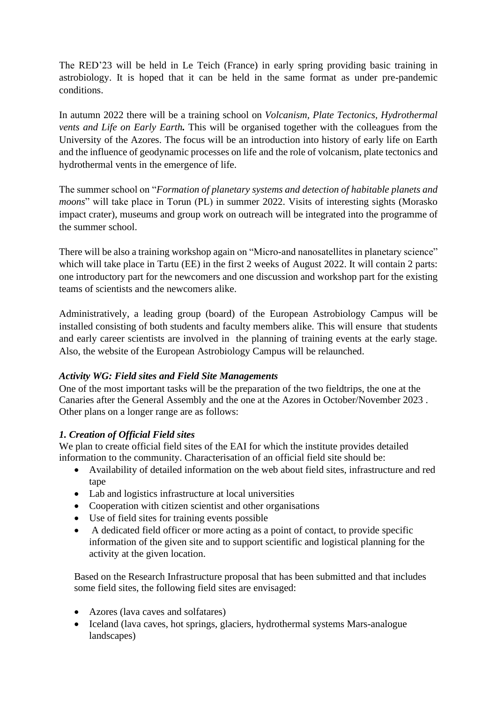The RED'23 will be held in Le Teich (France) in early spring providing basic training in astrobiology. It is hoped that it can be held in the same format as under pre-pandemic conditions.

In autumn 2022 there will be a training school on *Volcanism, Plate Tectonics, Hydrothermal vents and Life on Early Earth.* This will be organised together with the colleagues from the University of the Azores. The focus will be an introduction into history of early life on Earth and the influence of geodynamic processes on life and the role of volcanism, plate tectonics and hydrothermal vents in the emergence of life.

The summer school on "*Formation of planetary systems and detection of habitable planets and moons*" will take place in Torun (PL) in summer 2022. Visits of interesting sights (Morasko impact crater), museums and group work on outreach will be integrated into the programme of the summer school.

There will be also a training workshop again on "Micro-and nanosatellites in planetary science" which will take place in Tartu (EE) in the first 2 weeks of August 2022. It will contain 2 parts: one introductory part for the newcomers and one discussion and workshop part for the existing teams of scientists and the newcomers alike.

Administratively, a leading group (board) of the European Astrobiology Campus will be installed consisting of both students and faculty members alike. This will ensure that students and early career scientists are involved in the planning of training events at the early stage. Also, the website of the European Astrobiology Campus will be relaunched.

## *Activity WG: Field sites and Field Site Managements*

One of the most important tasks will be the preparation of the two fieldtrips, the one at the Canaries after the General Assembly and the one at the Azores in October/November 2023 . Other plans on a longer range are as follows:

## *1. Creation of Official Field sites*

We plan to create official field sites of the EAI for which the institute provides detailed information to the community. Characterisation of an official field site should be:

- Availability of detailed information on the web about field sites, infrastructure and red tape
- Lab and logistics infrastructure at local universities
- Cooperation with citizen scientist and other organisations
- Use of field sites for training events possible
- A dedicated field officer or more acting as a point of contact, to provide specific information of the given site and to support scientific and logistical planning for the activity at the given location.

Based on the Research Infrastructure proposal that has been submitted and that includes some field sites, the following field sites are envisaged:

- Azores (lava caves and solfatares)
- Iceland (lava caves, hot springs, glaciers, hydrothermal systems Mars-analogue landscapes)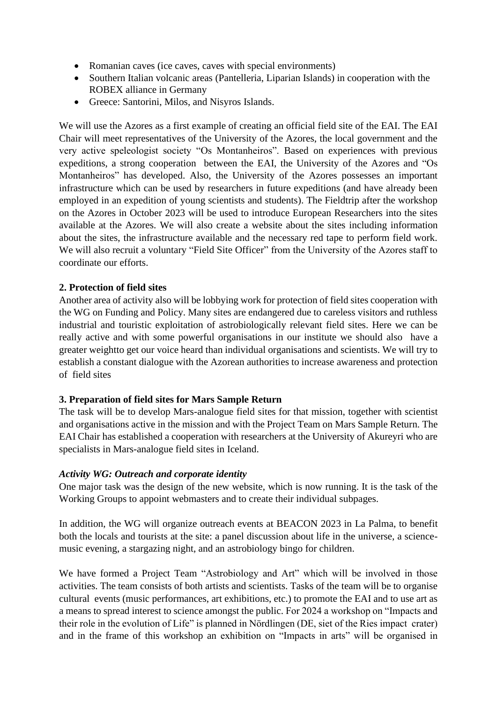- Romanian caves (ice caves, caves with special environments)
- Southern Italian volcanic areas (Pantelleria, Liparian Islands) in cooperation with the ROBEX alliance in Germany
- Greece: Santorini, Milos, and Nisyros Islands.

We will use the Azores as a first example of creating an official field site of the EAI. The EAI Chair will meet representatives of the University of the Azores, the local government and the very active speleologist society "Os Montanheiros". Based on experiences with previous expeditions, a strong cooperation between the EAI, the University of the Azores and "Os Montanheiros" has developed. Also, the University of the Azores possesses an important infrastructure which can be used by researchers in future expeditions (and have already been employed in an expedition of young scientists and students). The Fieldtrip after the workshop on the Azores in October 2023 will be used to introduce European Researchers into the sites available at the Azores. We will also create a website about the sites including information about the sites, the infrastructure available and the necessary red tape to perform field work. We will also recruit a voluntary "Field Site Officer" from the University of the Azores staff to coordinate our efforts.

#### **2. Protection of field sites**

Another area of activity also will be lobbying work for protection of field sites cooperation with the WG on Funding and Policy. Many sites are endangered due to careless visitors and ruthless industrial and touristic exploitation of astrobiologically relevant field sites. Here we can be really active and with some powerful organisations in our institute we should also have a greater weightto get our voice heard than individual organisations and scientists. We will try to establish a constant dialogue with the Azorean authorities to increase awareness and protection of field sites

#### **3. Preparation of field sites for Mars Sample Return**

The task will be to develop Mars-analogue field sites for that mission, together with scientist and organisations active in the mission and with the Project Team on Mars Sample Return. The EAI Chair has established a cooperation with researchers at the University of Akureyri who are specialists in Mars-analogue field sites in Iceland.

#### *Activity WG: Outreach and corporate identity*

One major task was the design of the new website, which is now running. It is the task of the Working Groups to appoint webmasters and to create their individual subpages.

In addition, the WG will organize outreach events at BEACON 2023 in La Palma, to benefit both the locals and tourists at the site: a panel discussion about life in the universe, a sciencemusic evening, a stargazing night, and an astrobiology bingo for children.

We have formed a Project Team "Astrobiology and Art" which will be involved in those activities. The team consists of both artists and scientists. Tasks of the team will be to organise cultural events (music performances, art exhibitions, etc.) to promote the EAI and to use art as a means to spread interest to science amongst the public. For 2024 a workshop on "Impacts and their role in the evolution of Life" is planned in Nördlingen (DE, siet of the Ries impact crater) and in the frame of this workshop an exhibition on "Impacts in arts" will be organised in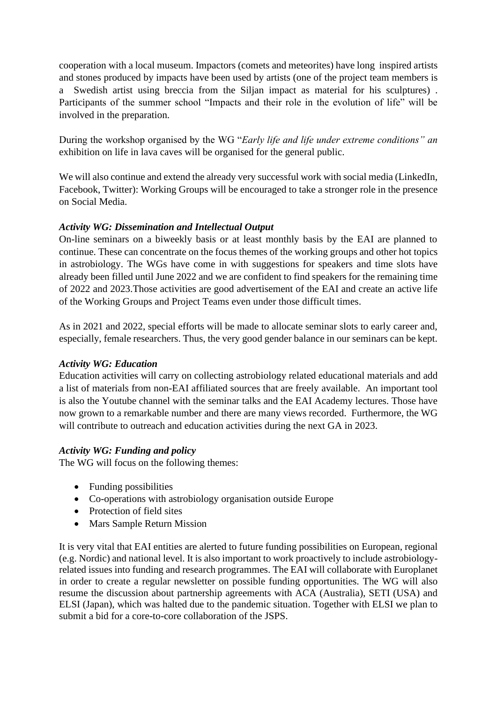cooperation with a local museum. Impactors (comets and meteorites) have long inspired artists and stones produced by impacts have been used by artists (one of the project team members is a Swedish artist using breccia from the Siljan impact as material for his sculptures) . Participants of the summer school "Impacts and their role in the evolution of life" will be involved in the preparation.

During the workshop organised by the WG "*Early life and life under extreme conditions" an*  exhibition on life in lava caves will be organised for the general public.

We will also continue and extend the already very successful work with social media (LinkedIn, Facebook, Twitter): Working Groups will be encouraged to take a stronger role in the presence on Social Media.

## *Activity WG: Dissemination and Intellectual Output*

On-line seminars on a biweekly basis or at least monthly basis by the EAI are planned to continue. These can concentrate on the focus themes of the working groups and other hot topics in astrobiology. The WGs have come in with suggestions for speakers and time slots have already been filled until June 2022 and we are confident to find speakers for the remaining time of 2022 and 2023.Those activities are good advertisement of the EAI and create an active life of the Working Groups and Project Teams even under those difficult times.

As in 2021 and 2022, special efforts will be made to allocate seminar slots to early career and, especially, female researchers. Thus, the very good gender balance in our seminars can be kept.

#### *Activity WG: Education*

Education activities will carry on collecting astrobiology related educational materials and add a list of materials from non-EAI affiliated sources that are freely available. An important tool is also the Youtube channel with the seminar talks and the EAI Academy lectures. Those have now grown to a remarkable number and there are many views recorded. Furthermore, the WG will contribute to outreach and education activities during the next GA in 2023.

## *Activity WG: Funding and policy*

The WG will focus on the following themes:

- Funding possibilities
- Co-operations with astrobiology organisation outside Europe
- Protection of field sites
- Mars Sample Return Mission

It is very vital that EAI entities are alerted to future funding possibilities on European, regional (e.g. Nordic) and national level. It is also important to work proactively to include astrobiologyrelated issues into funding and research programmes. The EAI will collaborate with Europlanet in order to create a regular newsletter on possible funding opportunities. The WG will also resume the discussion about partnership agreements with ACA (Australia), SETI (USA) and ELSI (Japan), which was halted due to the pandemic situation. Together with ELSI we plan to submit a bid for a core-to-core collaboration of the JSPS.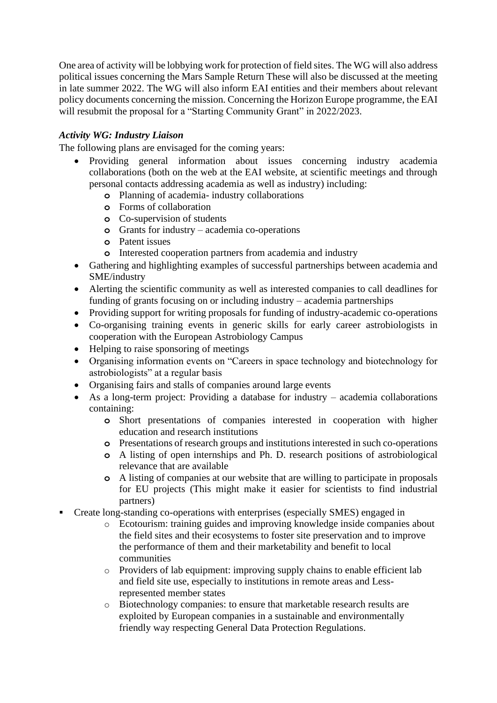One area of activity will be lobbying work for protection of field sites. The WG will also address political issues concerning the Mars Sample Return These will also be discussed at the meeting in late summer 2022. The WG will also inform EAI entities and their members about relevant policy documents concerning the mission. Concerning the Horizon Europe programme, the EAI will resubmit the proposal for a "Starting Community Grant" in 2022/2023.

### *Activity WG: Industry Liaison*

The following plans are envisaged for the coming years:

- Providing general information about issues concerning industry academia collaborations (both on the web at the EAI website, at scientific meetings and through personal contacts addressing academia as well as industry) including:
	- **o** Planning of academia- industry collaborations
	- **o** Forms of collaboration
	- **o** Co-supervision of students
	- **o** Grants for industry academia co-operations
	- **o** Patent issues
	- **o** Interested cooperation partners from academia and industry
- Gathering and highlighting examples of successful partnerships between academia and SME/industry
- Alerting the scientific community as well as interested companies to call deadlines for funding of grants focusing on or including industry – academia partnerships
- Providing support for writing proposals for funding of industry-academic co-operations
- Co-organising training events in generic skills for early career astrobiologists in cooperation with the European Astrobiology Campus
- Helping to raise sponsoring of meetings
- Organising information events on "Careers in space technology and biotechnology for astrobiologists" at a regular basis
- Organising fairs and stalls of companies around large events
- As a long-term project: Providing a database for industry academia collaborations containing:
	- **o** Short presentations of companies interested in cooperation with higher education and research institutions
	- **o** Presentations of research groups and institutions interested in such co-operations
	- **o** A listing of open internships and Ph. D. research positions of astrobiological relevance that are available
	- **o** A listing of companies at our website that are willing to participate in proposals for EU projects (This might make it easier for scientists to find industrial partners)
- Create long-standing co-operations with enterprises (especially SMES) engaged in
	- o Ecotourism: training guides and improving knowledge inside companies about the field sites and their ecosystems to foster site preservation and to improve the performance of them and their marketability and benefit to local communities
	- o Providers of lab equipment: improving supply chains to enable efficient lab and field site use, especially to institutions in remote areas and Lessrepresented member states
	- o Biotechnology companies: to ensure that marketable research results are exploited by European companies in a sustainable and environmentally friendly way respecting General Data Protection Regulations.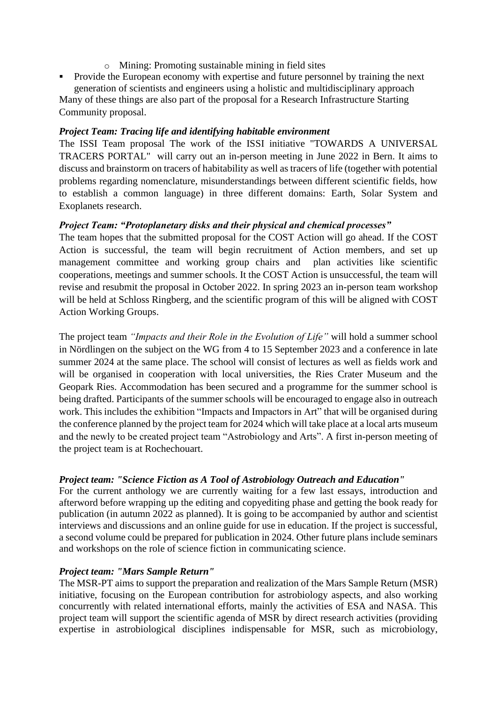- o Mining: Promoting sustainable mining in field sites
- Provide the European economy with expertise and future personnel by training the next generation of scientists and engineers using a holistic and multidisciplinary approach

Many of these things are also part of the proposal for a Research Infrastructure Starting Community proposal.

#### *Project Team: Tracing life and identifying habitable environment*

The ISSI Team proposal The work of the ISSI initiative "TOWARDS A UNIVERSAL TRACERS PORTAL" will carry out an in-person meeting in June 2022 in Bern. It aims to discuss and brainstorm on tracers of habitability as well as tracers of life (together with potential problems regarding nomenclature, misunderstandings between different scientific fields, how to establish a common language) in three different domains: Earth, Solar System and Exoplanets research.

#### *Project Team: "Protoplanetary disks and their physical and chemical processes"*

The team hopes that the submitted proposal for the COST Action will go ahead. If the COST Action is successful, the team will begin recruitment of Action members, and set up management committee and working group chairs and plan activities like scientific cooperations, meetings and summer schools. It the COST Action is unsuccessful, the team will revise and resubmit the proposal in October 2022. In spring 2023 an in-person team workshop will be held at Schloss Ringberg, and the scientific program of this will be aligned with COST Action Working Groups.

The project team *"Impacts and their Role in the Evolution of Life"* will hold a summer school in Nördlingen on the subject on the WG from 4 to 15 September 2023 and a conference in late summer 2024 at the same place. The school will consist of lectures as well as fields work and will be organised in cooperation with local universities, the Ries Crater Museum and the Geopark Ries. Accommodation has been secured and a programme for the summer school is being drafted. Participants of the summer schools will be encouraged to engage also in outreach work. This includes the exhibition "Impacts and Impactors in Art" that will be organised during the conference planned by the project team for 2024 which will take place at a local arts museum and the newly to be created project team "Astrobiology and Arts". A first in-person meeting of the project team is at Rochechouart.

#### *Project team: "Science Fiction as A Tool of Astrobiology Outreach and Education"*

For the current anthology we are currently waiting for a few last essays, introduction and afterword before wrapping up the editing and copyediting phase and getting the book ready for publication (in autumn 2022 as planned). It is going to be accompanied by author and scientist interviews and discussions and an online guide for use in education. If the project is successful, a second volume could be prepared for publication in 2024. Other future plans include seminars and workshops on the role of science fiction in communicating science.

#### *Project team: "Mars Sample Return"*

The MSR-PT aims to support the preparation and realization of the Mars Sample Return (MSR) initiative, focusing on the European contribution for astrobiology aspects, and also working concurrently with related international efforts, mainly the activities of ESA and NASA. This project team will support the scientific agenda of MSR by direct research activities (providing expertise in astrobiological disciplines indispensable for MSR, such as microbiology,